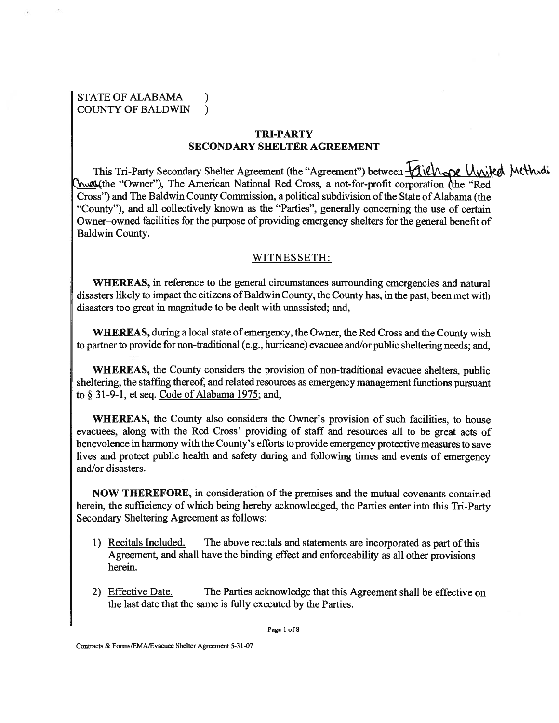## STATE OF ALABAMA ) COUNTY OF BALDWIN )

## **TRI-PARTY SECONDARY SHELTER AGREEMENT**

This Tri-Party Secondary Shelter Agreement (the "Agreement") between  $\mathcal{U}(\mathcal{U})$  and  $\mathcal{U}(\mathcal{U})$  and  $\mathcal{U}(\mathcal{U})$ "Owner"), The American National Red Cross, a not-for-profit corporation (the "Red Cross") and The Baldwin County Commission, a political subdivision of the State of Alabama (the "County"), and all collectively known as the "Parties", generally concerning the use of certain Owner-owned facilities for the purpose of providing emergency shelters for the general benefit of Baldwin County.

### WITNESSETH:

**WHEREAS,** in reference to the general circumstances surrounding emergencies and natural disasters likely to impact the citizens of Baldwin County, the County has, in the past, been met with disasters too great in magnitude to be dealt with unassisted; and,

**WHEREAS,** during a local state of emergency, the Owner, the Red Cross and the County wish to partner to provide for non-traditional (e.g., hurricane) evacuee and/or public sheltering needs; and,

**WHEREAS,** the County considers the provision of non-traditional evacuee shelters, public sheltering, the staffing thereof, and related resources as emergency management functions pursuant to **9 3** 1-9-1, et seq. Code of Alabama 1975; and,

**WHEREAS,** the County also considers the Owner's provision of such facilities, to house evacuees, along with the Red Cross' providing of staff and resources all to be great acts of benevolence in harmony with the County's efforts to provide emergency protective measures to save lives and protect public health and safety during and following times and events of emergency and/or disasters.

**NOW THEREFORE,** in consideration of the premises and the mutual covenants contained herein, the sufficiency of which being hereby acknowledged, the Parties enter into this Tri-Party Secondary Sheltering Agreement as follows:

- 1) Recitals Included. The above recitals and statements are incorporated as part of this Agreement, and shall have the binding effect and enforceability as all other provisions herein.
- 2) Effective Date. The Parties acknowledge that this Agreement shall be effective on the last date that the same is fully executed by the Parties.

**Page 1 of 8** 

**Contracts** & **Fom/EMA/Evacuee Shelter Agreement 5-3 1-07** 

**U**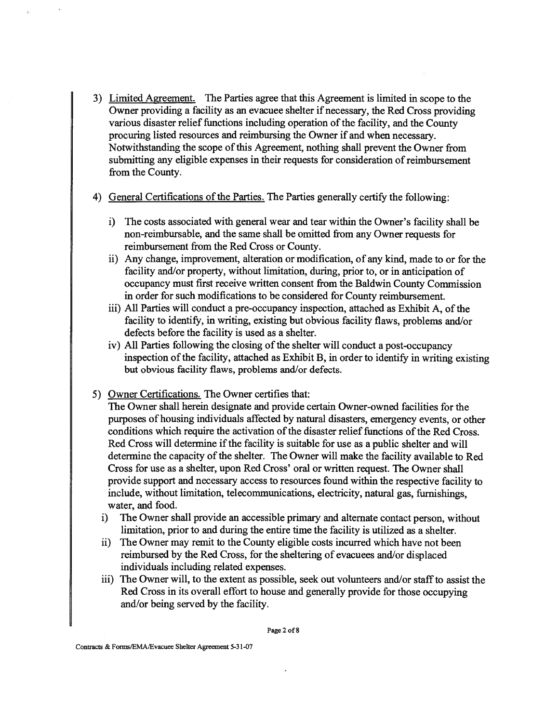- **3)** Limited Agreement. The Parties agree that this Agreement is limited in scope to the Owner providing a facility as an evacuee shelter if necessary, the Red Cross providing various disaster relief functions including operation of the facility, and the County procuring listed resources and reimbursing the Owner if and when necessary. Notwithstanding the scope of this Agreement, nothing shall prevent the Owner from submitting any eligible expenses in their requests for consideration of reimbursement from the County.
- 4) General Certifications of the Parties. The Parties generally certify the following:
	- i) The costs associated with general wear and tear within the Owner's facility shall be non-reimbursable, and the same shall be omitted from any Owner requests for reimbursement from the Red Cross or County.
	- ii) Any change, improvement, alteration or modification, of any kind, made to or for the facility and/or property, without limitation, during, prior to, or in anticipation of occupancy must first receive written consent fiom the Baldwin County Commission in order for such modifications to be considered for County reimbursement.
	- iii) All Parties will conduct a pre-occupancy inspection, attached as Exhibit A, of the facility to identify, in writing, existing but obvious facility flaws, problems and/or defects before the facility is used as a shelter.
	- iv) All Parties following the closing of the shelter will conduct a post-occupancy inspection of the facility, attached as Exhibit B, in order to identify in writing existing but obvious facility flaws, problems and/or defects.
- 5) Owner Certifications. The Owner certifies that:

The Owner shall herein designate and provide certain Owner-owned facilities for the purposes of housing individuals affected by natural disasters, emergency events, or other conditions which require the activation of the disaster relief functions of the Red Cross. Red Cross will determine if the facility is suitable for use as a public shelter and will determine the capacity of the shelter. The Owner will make the facility available to Red Cross for use as a shelter, upon Red Cross' oral or written request. The Owner shall provide support and necessary access to resources found within the respective facility to include, without limitation, telecommunications, electricity, natural gas, furnishings, water, and food.

- i) The Owner shall provide an accessible primary and alternate contact person, without limitation, prior to and during the entire time the facility is utilized as a shelter.
- ii) The Owner may remit to the County eligible costs incurred which have not been reimbursed by the Red Cross, for the sheltering of evacuees and/or displaced individuals including related expenses.
- iii) The Owner will, to the extent as possible, seek out volunteers and/or staff to assist the Red Cross in its overall effort to house and generally provide for those occupying and/or being served by the facility.

**Page 2 of 8**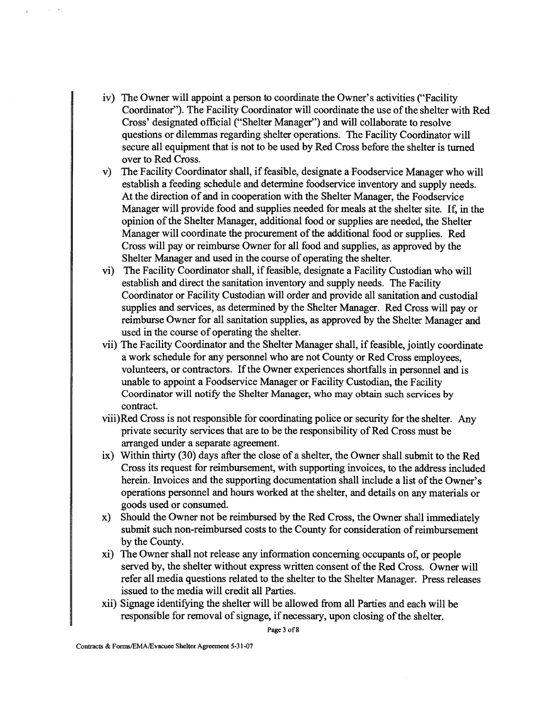- iv) The Owner will appoint a person to coordinate the Owner's activities ("Facility" Coordinator"). The Facility Coordinator will coordinate the use of the shelter with Red Cross' designated official ("Shelter Manager") and will collaborate to resolve questions or dilemmas regarding shelter operations. The Facility Coordinator will secure all equipment that is not to be used by Red Cross before the shelter is turned over to Red Cross.
- The Facility Coordinator shall, if feasible, designate a Foodservice Manager who will  $V)$ establish a feeding schedule and determine foodservice inventory and supply needs. At the direction of and in cooperation with the Shelter Manager, the Foodservice Manager will provide food and supplies needed for meals at the shelter site. If, in the opinion of the Shelter Manager, additional food or supplies are needed, the Shelter Manager will coordinate the procurement of the additional food or supplies. Red Cross will pay or reimburse Owner for all food and supplies, as approved by the Shelter Manager and used in the course of operating the shelter.
- The Facility Coordinator shall, if feasible, designate a Facility Custodian who will establish and direct the sanitation inventory and supply needs. The Facility Coordinator or Facility Custodian will order and provide all sanitation and custodial supplies and services, as determined by the Shelter Manager. Red Cross will pay or reimburse Owner for all sanitation supplies, as approved by the Shelter Manager and used in the course of operating the shelter.
- vii) The Facility Coordinator and the Shelter Manager shall, if feasible, jointly coordinate a work schedule for any personnel who are not County or Red Cross employees, volunteers, or contractors. If the Owner experiences shortfalls in personnel and is unable to appoint a Foodservice Manager or Facility Custodian, the Facility Coordinator will notify the Shelter Manager, who may obtain such services by contract.
- viii)Red Cross is not responsible for coordinating police or security for the shelter. Any private security services that are to be the responsibility of Red Cross must be arranged under a separate agreement.
- **ix)** Within thirty **(30)** days after the close of a shelter, the Owner shall submit to the Red Cross its request for reimbursement, with supporting invoices, to the address included herein. Invoices and the supporting documentation shall include a list of the Owner's operations personnel and hours worked at the shelter, and details on any materials or goods used or consumed.
- x) Should the Owner not be reimbursed by the Red Cross, the Owner shall immediately submit such non-reimbursed costs to the County for consideration of reimbursement by the County.
- xi) The Owner shall not release any information concerning occupants of, or people served by, the shelter without express written consent of the Red Cross. Owner will refer all media questions related to the shelter to the Shelter Manager. Press releases issued to the media will credit all Parties.
- xii) Signage identifying the shelter will be allowed fiom all Parties and each will be responsible for removal of signage, if necessary, upon closing of the shelter.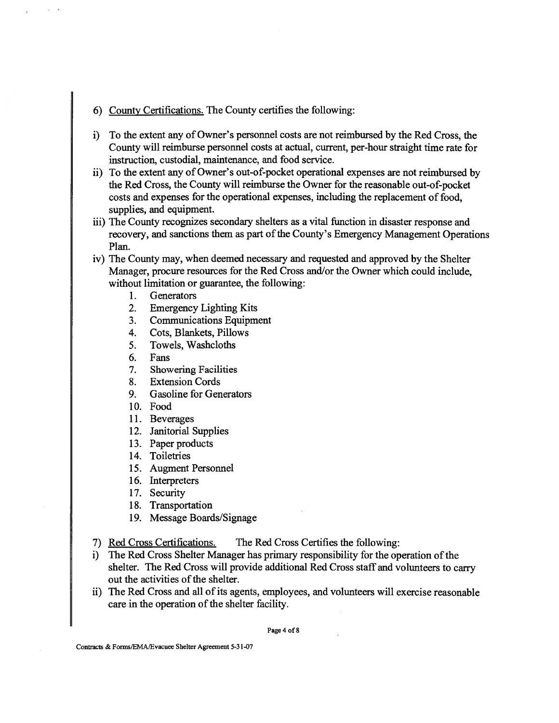### 6) County Certifications. The County certifies the following:

- i) To the extent any of Owner's personnel costs are not reimbursed by the Red Cross, the County will reimburse personnel costs at actual, current, per-hour straight time rate for instruction, custodial, maintenance, and food service.
- ii) To the extent any of Owner's out-of-pocket operational expenses are not reimbursed by the Red Cross, the County will reimburse the Owner for the reasonable out-of-pocket costs and expenses for the operational expenses, including the replacement of food, supplies, and equipment.
- iii) The County recognizes secondary shelters as a vital function in disaster response and recovery, and sanctions them as part of the County's Emergency Management Operations Plan.
- iv) The County may, when deemed necessary and requested and approved by the Shelter Manager, procure resources for the Red Cross and/or the Owner which could include, without limitation or guarantee, the following:
	- $1.$ **Generators**
	- $2.$ Emergency Lighting Kits
	- Communications Equipment  $3.$
	- Cots, Blankets, Pillows 4.
	- $5<sub>1</sub>$ Towels, Washcloths
	- Fans 6.
	- 7. Showering Facilities
	- 8. Extension Cords
	- 9. Gasoline for Generators
	- 10. Food
	- 11. Beverages
	- 12. Janitorial Supplies
	- 13. Paper products
	- 14. Toiletries
	- 15. Augment Personnel
	- 16. Interpreters
	- 17. Security
	- 18. Transportation
	- 19. Message Boards/Signage
- 7) Red Cross Certifications. The Red Cross Certifies the following:
- i) The Red Cross Shelter Manager has primary responsibility for the operation of the shelter. The Red Cross will provide additional Red Cross staff and volunteers to carry out the activities of the shelter.
- ii) The Red Cross and all of its agents, employees, and volunteers will exercise reasonable care in the operation of the shelter facility.

**Page 4 of 8**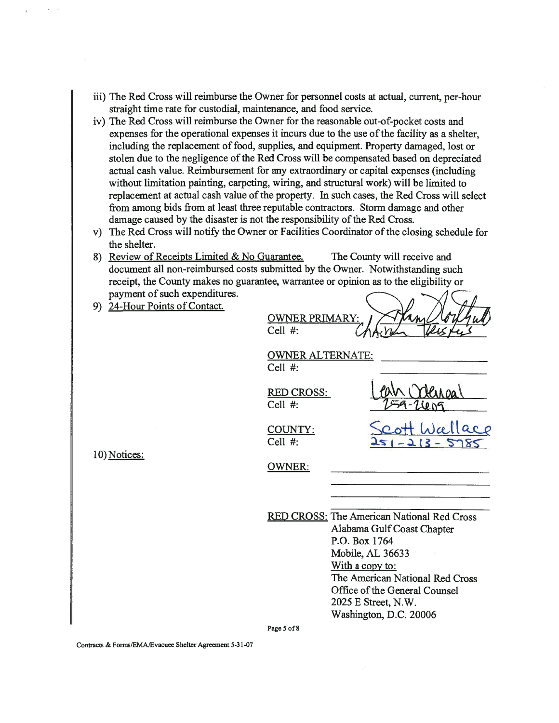- iii) The Red Cross will reimburse the Owner for personnel costs at actual, current, per-hour straight time rate for custodial, maintenance, and food service.
- iv) The Red Cross will reimburse the Owner for the reasonable out-of-pocket costs and expenses for the operational expenses it incurs due to the use of the facility as a shelter, including the replacement of food, supplies, and equipment. Property damaged, lost or stolen due to the negligence of the Red Cross will be compensated based on depreciated actual cash value. Reimbursement for any extraordinary or capital expenses (including without limitation painting, carpeting, wiring, and structural work) will be limited to replacement at actual cash value of the property. In such cases, the Red Cross will select from among bids from at least three reputable contractors. Storm damage and other damage caused by the disaster is not the responsibility of the Red Cross.
- v) The Red Cross will notify the Owner or Facilities Coordinator of the closing schedule for the shelter.
- 8) Review of Receipts Limited & No Guarantee. The County will receive and document all non-reimbursed costs submitted by the Owner. Notwithstanding such receipt, the County makes no guarantee, warrantee or opinion as to the eligibility or payment of such expenditures.
- 9) 24-Hour Points of Contact.

| ∩       | ARY: | $(\mu\llap/)(\ell)$ |
|---------|------|---------------------|
| Cell #: |      |                     |
|         |      |                     |

OWNER ALTERNATE: Cell #:

RED CROSS: Cell #:

COUNTY: Cell #:

10) Notices:

OWNER:

RED CROSS: The American National Red Cross Alabama Gulf Coast Chapter P.O. Box 1764 Mobile, AL 36633 With a copy to: The American National Red Cross Office of the General Counsel 2025 E Street, N.W. Washington, D.C. 20006

**Page 5 of 8** 

Contracts & Forms/EMA/Evacuee Shelter Agreement 5-31-07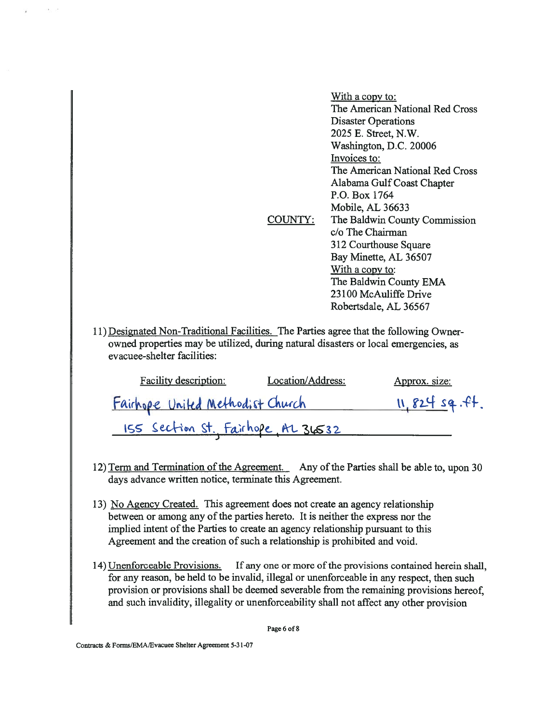|         | <u>With a copy to:</u>          |
|---------|---------------------------------|
|         | The American National Red Cross |
|         | <b>Disaster Operations</b>      |
|         | 2025 E. Street, N.W.            |
|         | Washington, D.C. 20006          |
|         | Invoices to:                    |
|         | The American National Red Cross |
|         | Alabama Gulf Coast Chapter      |
|         | P.O. Box 1764                   |
|         | Mobile, AL 36633                |
| COUNTY: | The Baldwin County Commission   |
|         | c/o The Chairman                |
|         | 312 Courthouse Square           |
|         | Bay Minette, AL 36507           |
|         | With a copy to:                 |
|         | The Baldwin County EMA          |
|         | 23100 McAuliffe Drive           |
|         | Robertsdale, AL 36567           |

11) Designated Non-Traditional Facilities. The Parties agree that the following Ownerowned properties may be utilized, during natural disasters or local emergencies, as evacuee-shelter facilities:

| Facility description:              | Location/Address: | Approx. size:  |
|------------------------------------|-------------------|----------------|
| Fairhope United Methodist Church   |                   | 11, 824 sq.ft. |
| ISS Section St. Fairhope, AL 36532 |                   |                |

- 12) **Term and Termination of the Agreement.** Any of the Parties shall be able to, upon 30 days advance written notice, terminate this Agreement.
- **13)** No Agencv Created. This agreement does not create an agency relationship between or among any of the parties hereto. It is neither the express nor the implied intent of the Parties to create an agency relationship pursuant to this Agreement and the creation of such a relationship is prohibited and void.
- **14)** Unenforceable Provisions. If any one or more of the provisions contained herein shall, for any reason, be held to be invalid, illegal or unenforceable in any respect, then such provision or provisions shall be deemed severable from the remaining provisions hereof, and such invalidity, illegality or unenforceability shall not affect any other provision

**Page 6 of 8**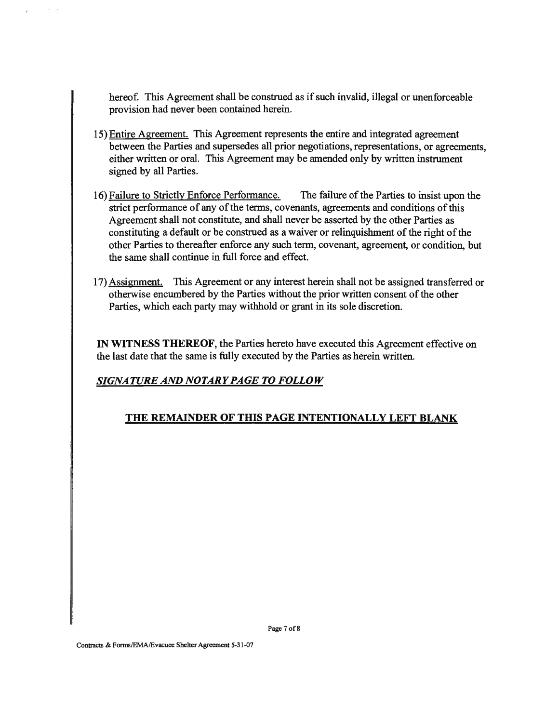hereof. This Agreement shall be construed as if such invalid, illegal or unenforceable provision had never been contained herein.

- 15) Entire Agreement. This Agreement represents the entire and integrated agreement between the Parties and supersedes all prior negotiations, representations, or agreements, either written or oral. This Agreement may be amended only by written instrument signed by all Parties.
- 16) Failure to Strictly Enforce Performance. The failure of the Parties to insist upon the strict performance of any of the terms, covenants, agreements and conditions of this Agreement shall not constitute, and shall never be asserted by the other Parties as constituting a default or be construed as a waiver or relinquishment of the right of the other Parties to thereafter enforce any such term, covenant, agreement, or condition, but the same shall continue in full force and effect.
- 17) Assignment. This Agreement or any interest herein shall not be assigned transferred or otherwise encumbered by the Parties without the prior written consent of the other Parties, which each party may withhold or grant in its sole discretion.

**IN WITNESS THEREOF,** the Parties hereto have executed this Agreement effective on the last date that the same is fully executed by the Parties as herein written.

# *SIGNATURE AND NOTARY PAGE TO FOLLOW*

# **THE REMAINDER OF THIS PAGE INTENTIONALLY LEFT BLANK**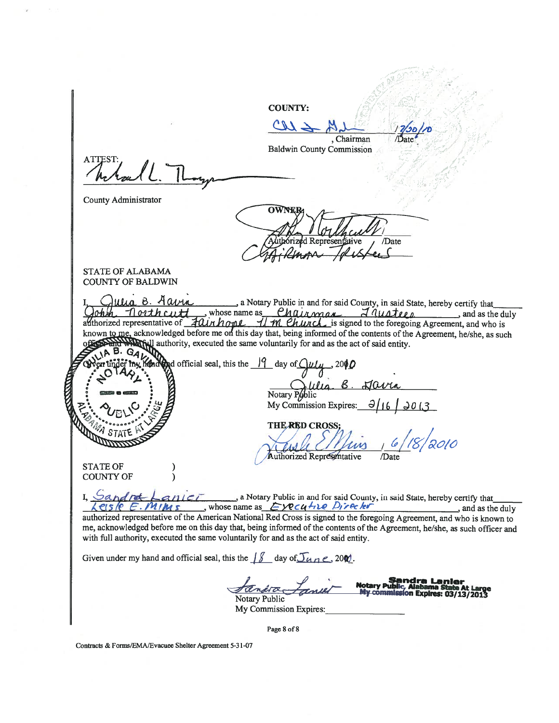**COUNTY:**  $CL2$ Chairman Chairman,<br>Baldwin County Commission **ATTEST** County Administrator /Date STATE OF **ALABAMA** I COUNTY OF **BALDWIN**  , a Notary Public in and for said County, in said State, hereby certify that  $Qohm$  Torth cutt whose name as Chair man is said county, in said state, nereby certify that<br>adthorized representative of  $\frac{1}{2}$  ( $\frac{1}{2}$ ) whose name as Chair man  $\frac{1}{2}$  ( $\frac{1}{2}$ ) and as the duly<br>adthorized repre authority, executed the same voluntarily for and as the act of said entity. official seal, this the  $\frac{19}{4}$  day of  $\frac{204}{9}$ u **0.**  &. **6. dm**  Notary Public  $My$  Commission Expires:  $THE$ *RED* **CROSS**; Authorized Representative STATE OF COUNTY OF **I, Sandre Lanier**, a Notary Public in and for said County, in said State, hereby certify that whose name as  $\epsilon$ **/CCU** time  $\ell$  **P** if  $\epsilon$  by  $\ell$ authorized representative of the American National Red Cross is signed to the foregoing Agreement, and who is known to me, acknowledged before me on this day that, being informed of the contents of the Agreement, helshe, as such officer and with fill authority, executed the same voluntarily for and as the act of said entity. Given under my hand and official seal, this the  $\int \int \int$  day of  $\int \int \alpha \, n \, e$ , 200. **Sandra Lanier<br>Notary Public, Alabama State At Large<br>My commission Expires: 03/13/2013** Notary Public My Commission Expires: **Page 8 of 8** 

Contracts & Forms/EMA/Evacuee Shelter Agreement 5-31-07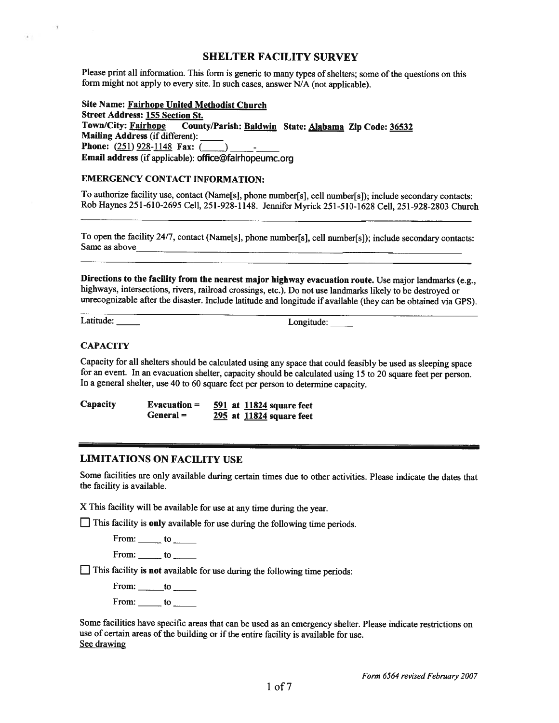#### **SHELTER FACILITY SURVEY**

Please print all information. This form is generic to many types of shelters; some of the questions on this form might not apply to every site. In such cases, answer N/A (not applicable).

**Site Name: Fairhope United Methodist Church Street Address: 155 Section St.**  Town/City: Fairhope County/Parish: Baldwin State: Alabama Zip Code: 36532 **Mailing Address** (if different): **Phone:**  $(251)$  928-1148 **Fax:** (\_\_\_\_) **Email address** (if applicable): office@fairhopeumc.org

#### **EMERGENCY CONTACT INFORMATION:**

To authorize facility use, contact (Name[s], phone number[s], cell number[s]); include secondary contacts: Rob Haynes 25 1-610-2695 Cell, 251-928-1 148. Jennifer Myrick 251-5 10-1628 Cell, 251-928-2803 Church

To open the facility 24/7, contact (Name[s], phone number[s], cell number[s]); include secondary contacts: Same as above

**Directions to the facility from the nearest major highway evacuation route.** Use major landmarks (e.g., highways, intersections, rivers, railroad crossings, etc.). Do not use landmarks likely to be destroyed or unrecognizable after the disaster. Include latitude and longitude if available (they can be obtained via GPS).

 $^{\rm -}$ r

 $\mathbf{z}$ 

Latitude: Longitude:

#### **CAPACITY**

Capacity for all shelters should be calculated using any space that could feasibly be used as sleeping space for an event. In an evacuation shelter, capacity should be calculated using 15 to 20 square feet per person. In a general shelter, use 40 to 60 square feet per person to determine capacity.

**Capacity Evacuation** = **591 at 11824 square feet General** = - **295 at 11824 square feet** 

## **LIMITATIONS ON FACILITY USE**

Some facilities are only available during certain times due to other activities. Please indicate the dates that the facility is available.

X This facility will be available for use at any time during the year.

[7 This facility is **only** available for use during the following time periods.

From:  $\_\_$  to  $\_\_$ 

From:  $\_\_$  to  $\_\_$ 

[7 This facility **is not** available for use during the following time periods:

 $From:$   $to$   $to$ 

From: to

Some facilities have specific areas that can be used as an emergency shelter. Please indicate restrictions on use of certain areas of the building or if the entire facility is available for use. See drawing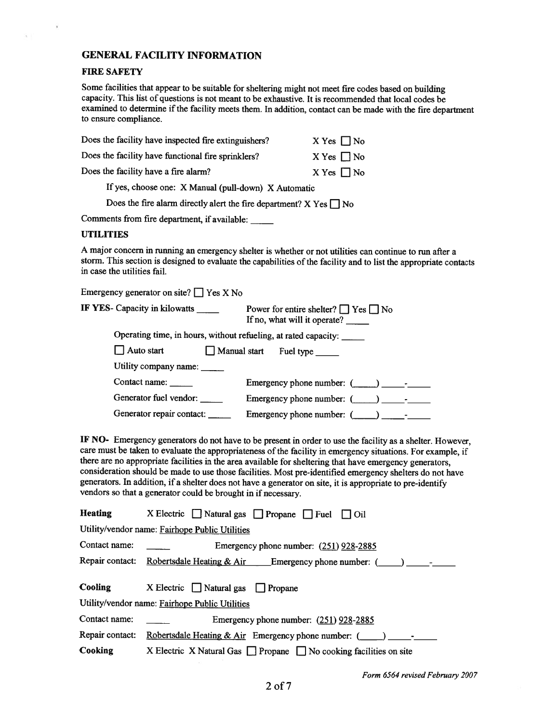## **GENERAL FACILITY INFORMATION**

#### **FIRE** SAFETY

 $\boldsymbol{\gamma}$ 

Some facilities that appear to be suitable for sheltering might not meet fire codes based on building capacity. This list of questions is not meant to be exhaustive. It is recommended that local codes be examined to determine if the facility meets them. In addition, contact can be made with the fire department to ensure compliance.

| Does the facility have inspected fire extinguishers?                    | $X$ Yes $\Box$ No |  |
|-------------------------------------------------------------------------|-------------------|--|
| Does the facility have functional fire sprinklers?                      | $X$ Yes $\Box$ No |  |
| Does the facility have a fire alarm?                                    | $X$ Yes $\Box$ No |  |
| If yes, choose one: X Manual (pull-down) X Automatic                    |                   |  |
| Does the fire alarm directly alert the fire department? X Yes $\Box$ No |                   |  |
|                                                                         |                   |  |

Comments from fire department, if available:

#### UTILITIES

A major concern in running an emergency shelter is whether or not utilities can continue to **run** after a storm. This section is designed to evaluate the capabilities of the facility and to list the appropriate contacts in case the utilities fail.

Emergency generator on site?  $\Box$  Yes X No

| IF YES- Capacity in kilowatts ______ | Power for entire shelter? $\Box$ Yes $\Box$ No<br>If no, what will it operate? |
|--------------------------------------|--------------------------------------------------------------------------------|
|                                      | Operating time, in hours, without refueling, at rated capacity:                |
| $\Box$ Auto start                    | Manual start Fuel type                                                         |
| Utility company name:                |                                                                                |
| Contact name:                        | Emergency phone number: $(\_\_\_\_$ ) $\_\_\_$                                 |
| Generator fuel vendor:               | Emergency phone number: $($ $)$                                                |
| Generator repair contact:            | Emergency phone number: (                                                      |

IF NO- Emergency generators do not have to be present in order to use the facility as a shelter. However, care must be taken to evaluate the appropriateness of the facility in emergency situations. For example, if there are no appropriate facilities in the area available for sheltering that have emergency generators, consideration should be made to use those facilities. Most pre-identified emergency shelters do not have generators. In addition, if a shelter does not have a generator on site, it is appropriate to pre-identify vendors so that a generator could be brought in if necessary.

| <b>Heating</b>                                 | X Electric $\Box$ Natural gas $\Box$ Propane $\Box$ Fuel $\Box$ Oil          |  |
|------------------------------------------------|------------------------------------------------------------------------------|--|
|                                                | Utility/vendor name: Fairhope Public Utilities                               |  |
| Contact name:                                  | Emergency phone number: $(251)$ 928-2885                                     |  |
|                                                | Repair contact: Robertsdale Heating & Air Emergency phone number: (100)      |  |
| Cooling                                        | $X$ Electric $\Box$ Natural gas $\Box$ Propane                               |  |
| Utility/vendor name: Fairhope Public Utilities |                                                                              |  |
| Contact name:                                  | Emergency phone number: $(251)$ 928-2885                                     |  |
| Repair contact:                                | Robertsdale Heating & Air Emergency phone number: (____)                     |  |
| Cooking                                        | X Electric X Natural Gas $\Box$ Propane $\Box$ No cooking facilities on site |  |

*Form 6564 revised February 2007*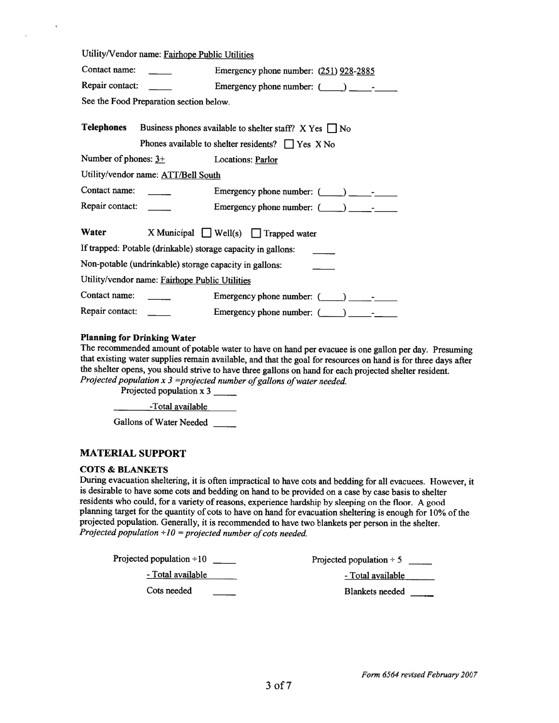|                                                              | Utility/Vendor name: Fairhope Public Utilities                                                                          |                                                 |  |  |
|--------------------------------------------------------------|-------------------------------------------------------------------------------------------------------------------------|-------------------------------------------------|--|--|
| Contact name:                                                |                                                                                                                         | Emergency phone number: (251) 928-2885          |  |  |
| Repair contact:                                              |                                                                                                                         | Emergency phone number: $(\_\_\_\_\_\_\_\_$     |  |  |
|                                                              | See the Food Preparation section below.                                                                                 |                                                 |  |  |
| <b>Telephones</b>                                            | Business phones available to shelter staff? $X$ Yes $\Box$ No<br>Phones available to shelter residents? $\Box$ Yes X No |                                                 |  |  |
|                                                              | Number of phones: $3+$ Locations: Parlor                                                                                |                                                 |  |  |
|                                                              | Utility/vendor name: ATT/Bell South                                                                                     |                                                 |  |  |
| Contact name:                                                |                                                                                                                         | Emergency phone number: $(\_\_\_\_\_\_\_$       |  |  |
| Repair contact:                                              |                                                                                                                         |                                                 |  |  |
| Water                                                        |                                                                                                                         | X Municipal $\Box$ Well(s) $\Box$ Trapped water |  |  |
| If trapped: Potable (drinkable) storage capacity in gallons: |                                                                                                                         |                                                 |  |  |
| Non-potable (undrinkable) storage capacity in gallons:       |                                                                                                                         |                                                 |  |  |
| Utility/vendor name: Fairhope Public Utilities               |                                                                                                                         |                                                 |  |  |
| Contact name:                                                |                                                                                                                         | Emergency phone number: $(\_\_\_\_\_\_\_$       |  |  |
| Repair contact:                                              |                                                                                                                         | Emergency phone number: $(\_\_)$                |  |  |

#### **Planning for Drinking Water**

 $\tilde{b}$ 

 $\overline{\mathcal{M}}$ 

The recommended amount of potable water to have on hand per evacuee is one gallon per day. Presuming that existing water supplies remain available, and that the goal for resources on hand is for three days after the shelter opens, you should strive to have three gallons on hand for each projected shelter resident. *Projected population x 3 =projected number of gallons of water needed.* 

Projected population x 3

-Total available

Gallons of Water Needed

#### **MATERIAL SUPPORT**

#### **COTS** & **BLANKETS**

During evacuation sheltering, it is often impractical to have cots and bedding for all evacuees. However, it is desirable to have some cots and bedding on hand to be provided on a case by case basis to shelter residents who could, for a variety of reasons, experience hardship by sleeping on the floor. A good planning target for the quantity of cots to have on hand for evacuation sheltering is enough for 10% of the projected population. Generally, it is recommended to have two blankets per person in the shelter. *Projected population*  $\div 10$  = projected number of cots needed.

| Projected population $-10$ | Projected population $\div$ 5 |
|----------------------------|-------------------------------|
| - Total available          | - Total available             |
| Cots needed                | <b>Blankets needed</b>        |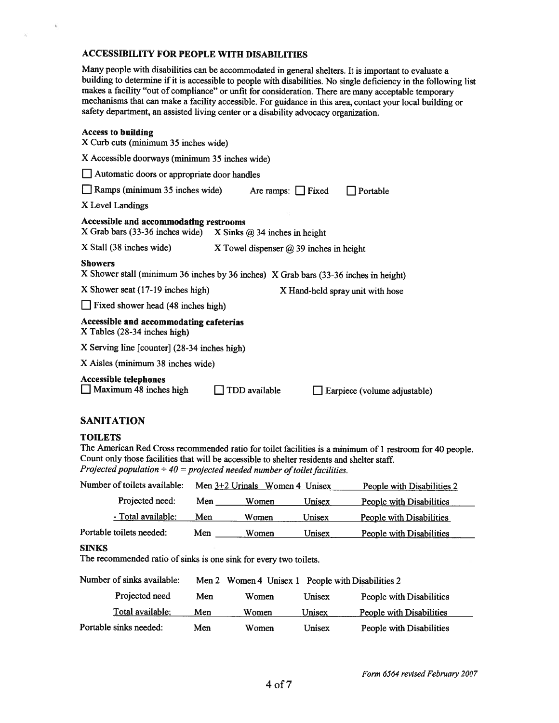### **ACCESSIBILITY FOR PEOPLE WITH DISABILITIES**

Many people with disabilities can be accommodated in general shelters. It is important to evaluate a building to determine if it is accessible to people with disabilities. No single deficiency in the following list makes a facility "out of compliance" or unfit for consideration. There are many acceptable temporary mechanisms that can make a facility accessible. For guidance in this area, contact your local building or safety department, an assisted living center or a disability advocacy organization.

#### **Access to building**

 $\tilde{\mathbf{t}}$ 

 $\mathcal{W}$ 

| лесезэ го бицинг<br>X Curb cuts (minimum 35 inches wide)                                                    |                                                |          |  |  |  |
|-------------------------------------------------------------------------------------------------------------|------------------------------------------------|----------|--|--|--|
|                                                                                                             | X Accessible doorways (minimum 35 inches wide) |          |  |  |  |
| Automatic doors or appropriate door handles                                                                 |                                                |          |  |  |  |
| Ramps (minimum 35 inches wide)                                                                              | Are ramps: $\Box$ Fixed                        | Portable |  |  |  |
| X Level Landings                                                                                            |                                                |          |  |  |  |
| Accessible and accommodating restrooms<br>X Grab bars (33-36 inches wide)<br>X Sinks $@34$ inches in height |                                                |          |  |  |  |
| X Stall (38 inches wide)                                                                                    | X Towel dispenser $@39$ inches in height       |          |  |  |  |
| <b>Showers</b><br>X Shower stall (minimum 36 inches by 36 inches) X Grab bars (33-36 inches in height)      |                                                |          |  |  |  |
| X Shower seat (17-19 inches high)<br>X Hand-held spray unit with hose                                       |                                                |          |  |  |  |
| Fixed shower head (48 inches high)                                                                          |                                                |          |  |  |  |
| Accessible and accommodating cafeterias<br>$X$ Tables (28-34 inches high)                                   |                                                |          |  |  |  |
| X Serving line [counter] (28-34 inches high)                                                                |                                                |          |  |  |  |
| X Aisles (minimum 38 inches wide)                                                                           |                                                |          |  |  |  |
| <b>Accessible telephones</b><br>Maximum 48 inches high<br>TDD available<br>Earpiece (volume adjustable)     |                                                |          |  |  |  |

### **SANITATION**

#### **TOILETS**

The American Red Cross recommended ratio for toilet facilities is a minimum of 1 restroom for 40 people. Count only those facilities that will be accessible to shelter residents and shelter staff. *Projected population*  $\div$  40 = projected needed number of toilet facilities.

| Number of toilets available:                                                                                                                                         | Men $3+2$ Urinals Women 4 Unisex<br>People with Disabilities 2 |       |        |                                 |
|----------------------------------------------------------------------------------------------------------------------------------------------------------------------|----------------------------------------------------------------|-------|--------|---------------------------------|
| Projected need:                                                                                                                                                      | Men                                                            | Women | Unisex | <b>People with Disabilities</b> |
| - Total available:                                                                                                                                                   | Men                                                            | Women | Unisex | <b>People with Disabilities</b> |
| Portable toilets needed:                                                                                                                                             | Men                                                            | Women | Unisex | People with Disabilities        |
| <b>SINKS</b><br>The recommended ratio of sinks is one sink for every two toilets.<br>Number of sinks available:<br>Men 2 Women 4 Unisex 1 People with Disabilities 2 |                                                                |       |        |                                 |
| Projected need                                                                                                                                                       | Men                                                            | Women | Unisex | People with Disabilities        |
| Total available:                                                                                                                                                     | Men                                                            | Women | Unisex | People with Disabilities        |
| Portable sinks needed:                                                                                                                                               | Men                                                            | Women | Unisex | People with Disabilities        |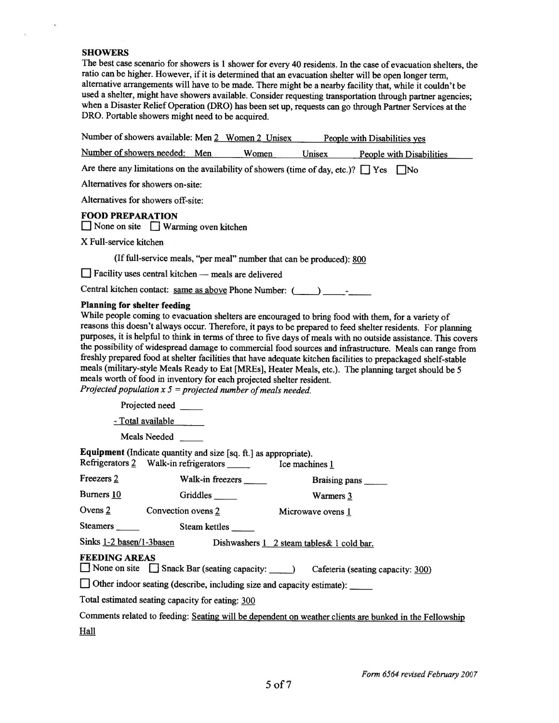#### **SHOWERS**

i.

 $\alpha$ 

The best case scenario for showers is 1 shower for every 40 residents. In the case of evacuation shelters, the ratio can be higher. However, if it is determined that an evacuation shelter will be open longer term, alternative arrangements will have to be made. There might be a nearby facility that, while it couldn't be used a shelter, might have showers available. Consider requesting transportation through partner agencies; when a Disaster Relief Operation (DRO) has been set up, requests can go through Partner Services at the DRO. Portable showers might need to be acquired.

| Number of showers available: Men 2 Women 2 Unisex                                                                                                                              |                  |                                                                      |                      | People with Disabilities yes                                                                                                                                                                                                                                                                                                                                                                                                                                                                                                                                                                                                                                                  |
|--------------------------------------------------------------------------------------------------------------------------------------------------------------------------------|------------------|----------------------------------------------------------------------|----------------------|-------------------------------------------------------------------------------------------------------------------------------------------------------------------------------------------------------------------------------------------------------------------------------------------------------------------------------------------------------------------------------------------------------------------------------------------------------------------------------------------------------------------------------------------------------------------------------------------------------------------------------------------------------------------------------|
| Number of showers needed: Men                                                                                                                                                  |                  | Women                                                                | Unisex               | <b>People with Disabilities</b>                                                                                                                                                                                                                                                                                                                                                                                                                                                                                                                                                                                                                                               |
| Are there any limitations on the availability of showers (time of day, etc.)? $\Box$ Yes $\Box$ No                                                                             |                  |                                                                      |                      |                                                                                                                                                                                                                                                                                                                                                                                                                                                                                                                                                                                                                                                                               |
| Alternatives for showers on-site:                                                                                                                                              |                  |                                                                      |                      |                                                                                                                                                                                                                                                                                                                                                                                                                                                                                                                                                                                                                                                                               |
| Alternatives for showers off-site:                                                                                                                                             |                  |                                                                      |                      |                                                                                                                                                                                                                                                                                                                                                                                                                                                                                                                                                                                                                                                                               |
| <b>FOOD PREPARATION</b><br>$\Box$ None on site $\Box$ Warming oven kitchen                                                                                                     |                  |                                                                      |                      |                                                                                                                                                                                                                                                                                                                                                                                                                                                                                                                                                                                                                                                                               |
| X Full-service kitchen                                                                                                                                                         |                  |                                                                      |                      |                                                                                                                                                                                                                                                                                                                                                                                                                                                                                                                                                                                                                                                                               |
|                                                                                                                                                                                |                  | (If full-service meals, "per meal" number that can be produced): 800 |                      |                                                                                                                                                                                                                                                                                                                                                                                                                                                                                                                                                                                                                                                                               |
| $\Box$ Facility uses central kitchen $-$ meals are delivered                                                                                                                   |                  |                                                                      |                      |                                                                                                                                                                                                                                                                                                                                                                                                                                                                                                                                                                                                                                                                               |
| Central kitchen contact: same as above Phone Number: (_____) ____________________                                                                                              |                  |                                                                      |                      |                                                                                                                                                                                                                                                                                                                                                                                                                                                                                                                                                                                                                                                                               |
| <b>Planning for shelter feeding</b><br>meals worth of food in inventory for each projected shelter resident.<br>Projected population $x 5 =$ projected number of meals needed. |                  |                                                                      |                      | While people coming to evacuation shelters are encouraged to bring food with them, for a variety of<br>reasons this doesn't always occur. Therefore, it pays to be prepared to feed shelter residents. For planning<br>purposes, it is helpful to think in terms of three to five days of meals with no outside assistance. This covers<br>the possibility of widespread damage to commercial food sources and infrastructure. Meals can range from<br>freshly prepared food at shelter facilities that have adequate kitchen facilities to prepackaged shelf-stable<br>meals (military-style Meals Ready to Eat [MREs], Heater Meals, etc.). The planning target should be 5 |
| Projected need                                                                                                                                                                 |                  |                                                                      |                      |                                                                                                                                                                                                                                                                                                                                                                                                                                                                                                                                                                                                                                                                               |
| - Total available                                                                                                                                                              |                  |                                                                      |                      |                                                                                                                                                                                                                                                                                                                                                                                                                                                                                                                                                                                                                                                                               |
| <b>Meals Needed</b>                                                                                                                                                            |                  |                                                                      |                      |                                                                                                                                                                                                                                                                                                                                                                                                                                                                                                                                                                                                                                                                               |
| Equipment (Indicate quantity and size [sq. ft.] as appropriate).<br>Refrigerators $2$ Walk-in refrigerators                                                                    |                  |                                                                      | Ice machines 1       |                                                                                                                                                                                                                                                                                                                                                                                                                                                                                                                                                                                                                                                                               |
| Freezers 2                                                                                                                                                                     | Walk-in freezers |                                                                      | <b>Braising pans</b> |                                                                                                                                                                                                                                                                                                                                                                                                                                                                                                                                                                                                                                                                               |

| <b>TICCZCISZ</b>                                                                                       | walk-in freezers                                 | Braising pans                                                                      |  |  |
|--------------------------------------------------------------------------------------------------------|--------------------------------------------------|------------------------------------------------------------------------------------|--|--|
| Burners 10                                                                                             | Griddles $\frac{ }{ }$                           | Warmers 3                                                                          |  |  |
| Ovens $2$                                                                                              | Convection ovens 2                               | Microwave ovens 1                                                                  |  |  |
| Steamers ________                                                                                      | Steam kettles                                    |                                                                                    |  |  |
| Sinks 1-2 basen/1-3basen                                                                               |                                                  | Dishwashers 1 2 steam tables & 1 cold bar.                                         |  |  |
| <b>FEEDING AREAS</b>                                                                                   |                                                  | None on site Snack Bar (seating capacity: _____) Cafeteria (seating capacity: 300) |  |  |
| $\Box$ Other indoor seating (describe, including size and capacity estimate): $\Box$                   |                                                  |                                                                                    |  |  |
|                                                                                                        | Total estimated seating capacity for eating: 300 |                                                                                    |  |  |
| Comments related to feeding: Seating will be dependent on weather clients are bunked in the Fellowship |                                                  |                                                                                    |  |  |

Hall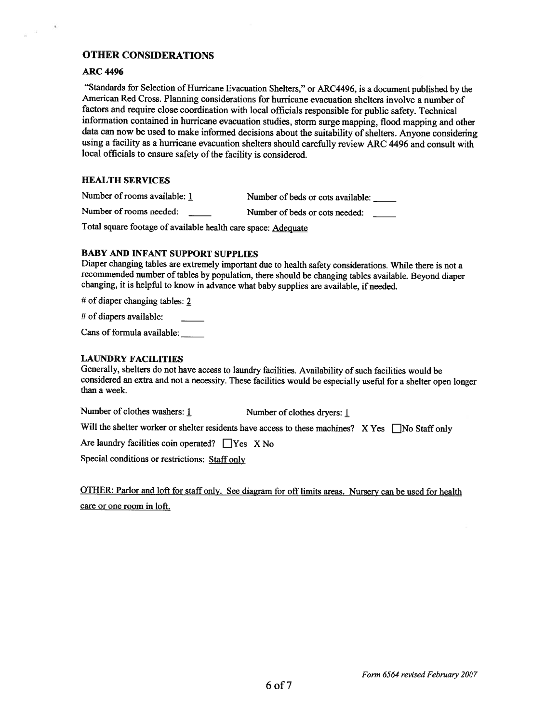#### **OTHER CONSIDERATIONS**

#### **ARC 4496**

 $\mathcal{U}$ 

"Standards for Selection of Hurricane Evacuation Shelters," or **ARC4496,** is a document published by the American Red Cross. Planning considerations for hurricane evacuation shelters involve a number of factors and require close coordination with local officials responsible for public safety. Technical information contained in hurricane evacuation studies, storm surge mapping, flood mapping and other data can now be used to make informed decisions about the suitability of shelters. Anyone considering using a facility as a hurricane evacuation shelters should carefully review ARC 4496 and consult with local officials to ensure safety of the facility is considered.

#### **HEALTH SERVICES**

Number of rooms available: 1 Number of beds or cots available: Number of rooms needed: Number of beds or cots needed:

Total square footage of available health care space: Adeauate

#### **BABY AND INFANT SUPPORT SUPPLIES**

Diaper changing tables are extremely important due to health safety considerations. While there is not a recommended number of tables by population, there should be changing tables available. Beyond diaper changing, it is helpful to know in advance what baby supplies are available, if needed.

# of diaper changing tables: 2

# of diapers available:

Cans of formula available:

#### **LAUNDRY FACILITIES**

Generally, shelters do not have access to laundry facilities. Availability of such facilities would be considered an extra and not a necessity. These facilities would be especially useful for a shelter open longer than a week.

Number of clothes washers: 1 **Number of clothes dryers:** 1

Will the shelter worker or shelter residents have access to these machines?  $X Yes \Box No Statf only$ 

Are laundry facilities coin operated?  $\Box$  Yes X No

Special conditions or restrictions: Staff only

OTHER: Parlor and loft for staff only. See diagram for off limits areas. Nursery can be used for health care or one room in loft.